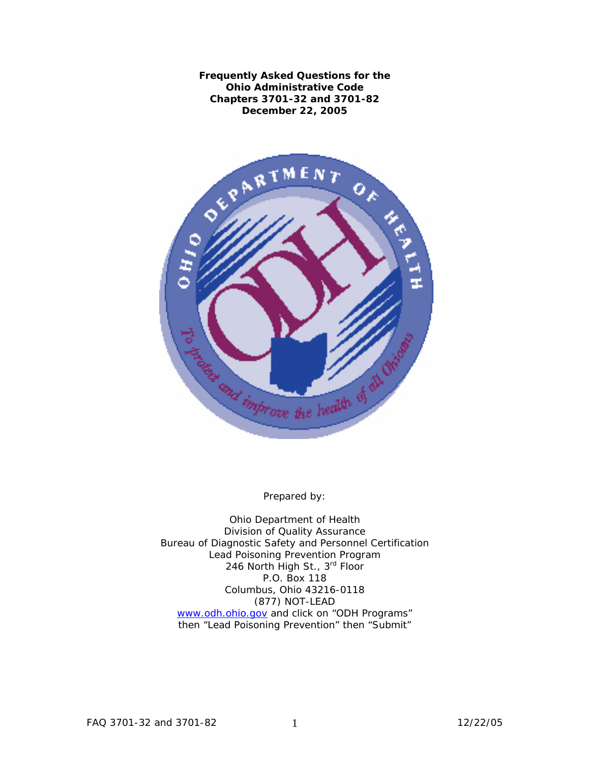**Frequently Asked Questions for the Ohio Administrative Code Chapters 3701-32 and 3701-82 December 22, 2005**



Prepared by:

Ohio Department of Health Division of Quality Assurance Bureau of Diagnostic Safety and Personnel Certification Lead Poisoning Prevention Program 246 North High St., 3<sup>rd</sup> Floor P.O. Box 118 Columbus, Ohio 43216-0118 (877) NOT-LEAD [www.odh.ohio.gov](http://www.odh.ohio.gov/default.aspx) and click on "ODH Programs" then "Lead Poisoning Prevention" then "Submit"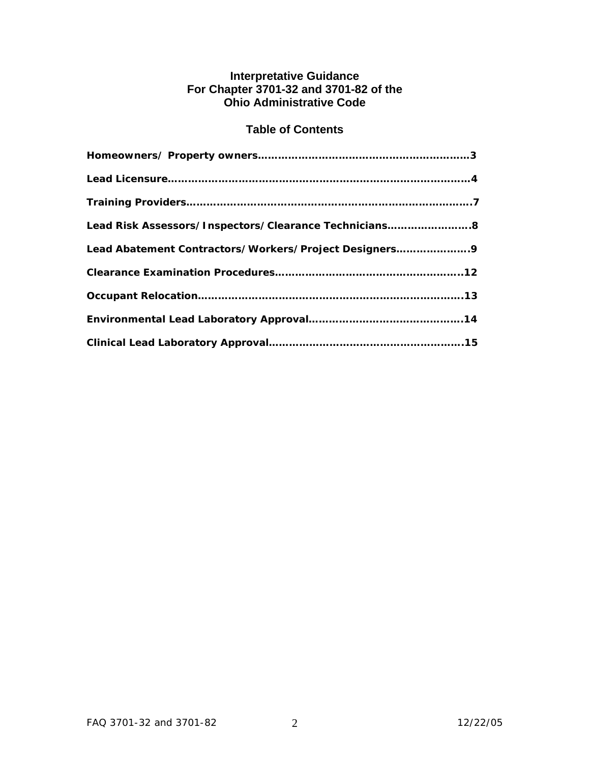# **Interpretative Guidance For Chapter 3701-32 and 3701-82 of the Ohio Administrative Code**

# **Table of Contents**

| Lead Risk Assessors/Inspectors/Clearance Technicians8 |
|-------------------------------------------------------|
| Lead Abatement Contractors/Workers/Project Designers9 |
|                                                       |
|                                                       |
|                                                       |
|                                                       |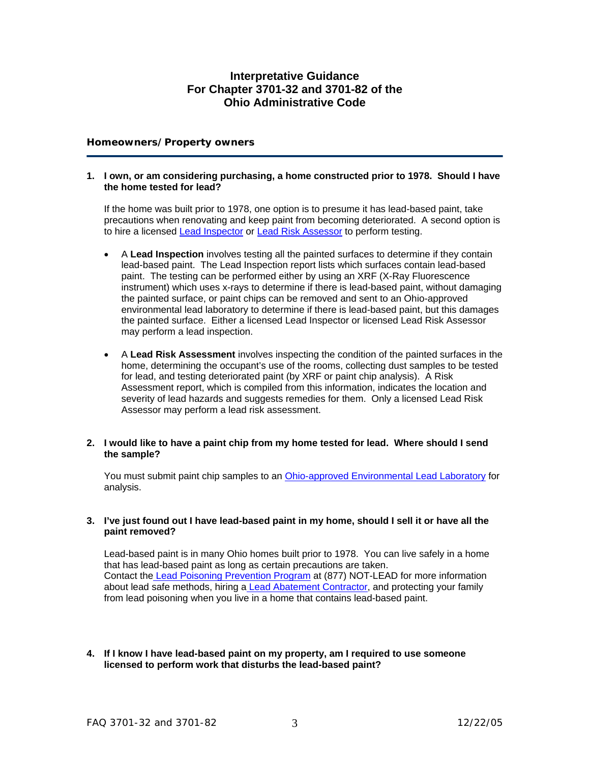# **Interpretative Guidance For Chapter 3701-32 and 3701-82 of the Ohio Administrative Code**

# **Homeowners/Property owners**

#### **1. I own, or am considering purchasing, a home constructed prior to 1978. Should I have the home tested for lead?**

 If the home was built prior to 1978, one option is to presume it has lead-based paint, take precautions when renovating and keep paint from becoming deteriorated. A second option is to hire a licensed [Lead Inspector](http://www.odh.ohio.gov/odhPrograms/dspc/lp_prev/lp_list1.aspx) or [Lead Risk Assessor](http://www.odh.ohio.gov/odhPrograms/dspc/lp_prev/lp_list1.aspx) to perform testing.

- A **Lead Inspection** involves testing all the painted surfaces to determine if they contain lead-based paint. The Lead Inspection report lists which surfaces contain lead-based paint. The testing can be performed either by using an XRF (X-Ray Fluorescence instrument) which uses x-rays to determine if there is lead-based paint, without damaging the painted surface, or paint chips can be removed and sent to an Ohio-approved environmental lead laboratory to determine if there is lead-based paint, but this damages the painted surface. Either a licensed Lead Inspector or licensed Lead Risk Assessor may perform a lead inspection.
- A **Lead Risk Assessment** involves inspecting the condition of the painted surfaces in the home, determining the occupant's use of the rooms, collecting dust samples to be tested for lead, and testing deteriorated paint (by XRF or paint chip analysis). A Risk Assessment report, which is compiled from this information, indicates the location and severity of lead hazards and suggests remedies for them. Only a licensed Lead Risk Assessor may perform a lead risk assessment.

# **2. I would like to have a paint chip from my home tested for lead. Where should I send the sample?**

You must submit paint chip samples to an [Ohio-approved Environmental Lead Laboratory](http://www.odh.ohio.gov/pdf/lp_lists/Envlist.PDF) for analysis.

# **3. I've just found out I have lead-based paint in my home, should I sell it or have all the paint removed?**

Lead-based paint is in many Ohio homes built prior to 1978. You can live safely in a home that has lead-based paint as long as certain precautions are taken. Contact th[e Lead Poisoning Prevention Program](http://www.odh.ohio.gov/odhPrograms/dspc/lp_prev/lp_prev1.aspx) at (877) NOT-LEAD for more information about lead safe methods, hiring a [Lead Abatement Contractor,](http://www.odh.ohio.gov/odhPrograms/dspc/lp_prev/lp_list1.aspx) and protecting your family from lead poisoning when you live in a home that contains lead-based paint.

**4. If I know I have lead-based paint on my property, am I required to use someone licensed to perform work that disturbs the lead-based paint?**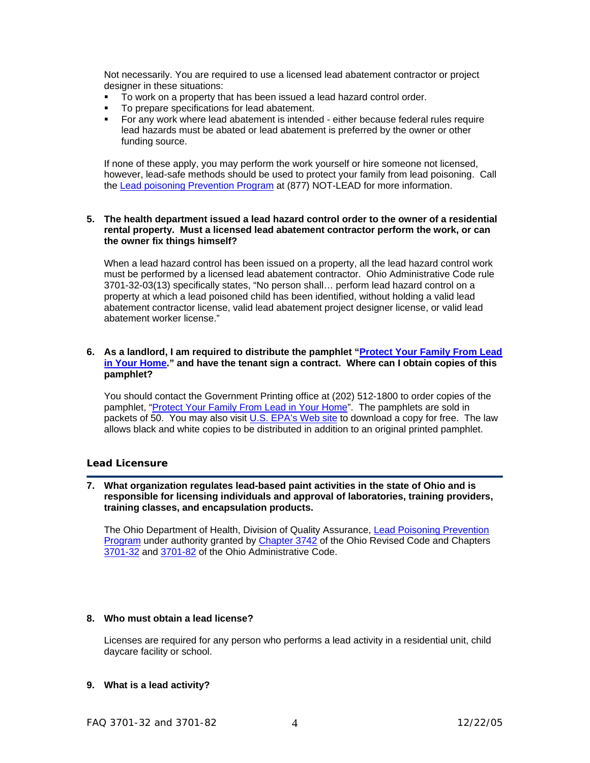Not necessarily. You are required to use a licensed lead abatement contractor or project designer in these situations:

- To work on a property that has been issued a lead hazard control order.
- **To prepare specifications for lead abatement.**
- For any work where lead abatement is intended either because federal rules require lead hazards must be abated or lead abatement is preferred by the owner or other funding source.

If none of these apply, you may perform the work yourself or hire someone not licensed, however, lead-safe methods should be used to protect your family from lead poisoning. Call the [Lead poisoning Prevention Program](http://www.odh.ohio.gov/odhPrograms/dspc/lp_prev/lp_prev1.aspx) at (877) NOT-LEAD for more information.

#### **5. The health department issued a lead hazard control order to the owner of a residential rental property. Must a licensed lead abatement contractor perform the work, or can the owner fix things himself?**

When a lead hazard control has been issued on a property, all the lead hazard control work must be performed by a licensed lead abatement contractor. Ohio Administrative Code rule 3701-32-03(13) specifically states, "No person shall… perform lead hazard control on a property at which a lead poisoned child has been identified, without holding a valid lead abatement contractor license, valid lead abatement project designer license, or valid lead abatement worker license."

# **6. As a landlord, I am required to distribute the pamphlet ["Protect Your Family From Lead](http://www.epa.gov/lead/leadprot.htm)  [in Your Home](http://www.epa.gov/lead/leadprot.htm)." and have the tenant sign a contract. Where can I obtain copies of this pamphlet?**

 You should contact the Government Printing office at (202) 512-1800 to order copies of the pamphlet, "[Protect Your Family From Lead in Your Home"](http://www.epa.gov/lead/leadprot.htm). The pamphlets are sold in packets of 50. You may also visit *U.S. EPA's Web site* to download a copy for free. The law allows black and white copies to be distributed in addition to an original printed pamphlet.

# **Lead Licensure**

**7. What organization regulates lead-based paint activities in the state of Ohio and is responsible for licensing individuals and approval of laboratories, training providers, training classes, and encapsulation products.**

The Ohio Department of Health, Division of Quality Assurance, Lead Poisoning Prevention [Program](http://www.odh.ohio.gov/odhPrograms/dspc/lp_prev/lp_prev1.aspx) under authority granted by [Chapter 3742](http://www.odh.ohio.gov/rules/final/finalRules.aspx) of the Ohio Revised Code and Chapters [3701-32](http://www.odh.ohio.gov/rules/final/f3701-32.aspx) and [3701-82](http://www.odh.ohio.gov/rules/final/f3701-82.aspx) of the Ohio Administrative Code.

# **8. Who must obtain a lead license?**

 Licenses are required for any person who performs a lead activity in a residential unit, child daycare facility or school.

# **9. What is a lead activity?**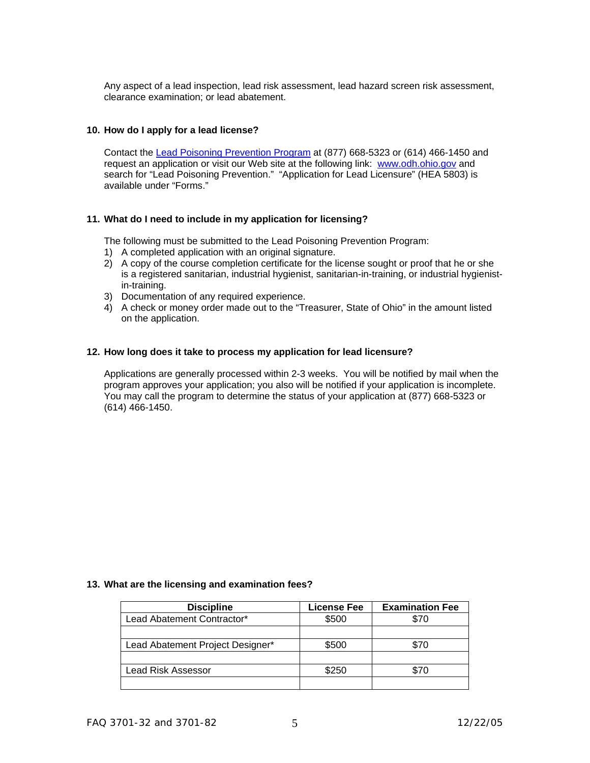Any aspect of a lead inspection, lead risk assessment, lead hazard screen risk assessment, clearance examination; or lead abatement.

# **10. How do I apply for a lead license?**

 Contact the [Lead Poisoning Prevention Program](http://www.odh.ohio.gov/odhPrograms/dspc/lp_prev/lp_prev1.aspx) at (877) 668-5323 or (614) 466-1450 and request an application or visit our Web site at the following link: [www.odh.ohio.gov](http://www.odh.ohio.gov/) and search for "Lead Poisoning Prevention." "Application for Lead Licensure" (HEA 5803) is available under "Forms."

# **11. What do I need to include in my application for licensing?**

The following must be submitted to the Lead Poisoning Prevention Program:

- 1) A completed application with an original signature.
- 2) A copy of the course completion certificate for the license sought or proof that he or she is a registered sanitarian, industrial hygienist, sanitarian-in-training, or industrial hygienistin-training.
- 3) Documentation of any required experience.
- 4) A check or money order made out to the "Treasurer, State of Ohio" in the amount listed on the application.

# **12. How long does it take to process my application for lead licensure?**

 Applications are generally processed within 2-3 weeks. You will be notified by mail when the program approves your application; you also will be notified if your application is incomplete. You may call the program to determine the status of your application at (877) 668-5323 or (614) 466-1450.

#### **13. What are the licensing and examination fees?**

| <b>Discipline</b>                | License Fee | <b>Examination Fee</b> |
|----------------------------------|-------------|------------------------|
| Lead Abatement Contractor*       | \$500       | \$70                   |
|                                  |             |                        |
| Lead Abatement Project Designer* | \$500       | \$70                   |
|                                  |             |                        |
| Lead Risk Assessor               | \$250       | \$70                   |
|                                  |             |                        |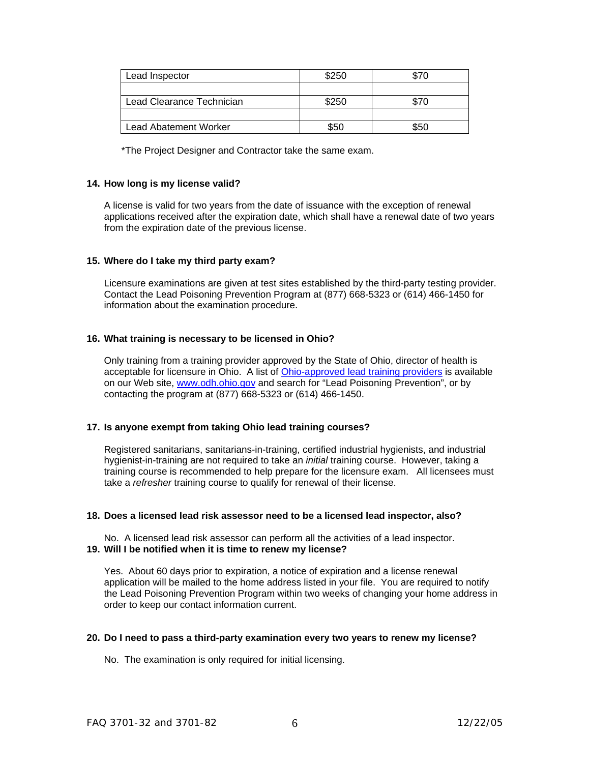| Lead Inspector               | \$250 |      |
|------------------------------|-------|------|
|                              |       |      |
| Lead Clearance Technician    | \$250 | \$70 |
|                              |       |      |
| <b>Lead Abatement Worker</b> | \$50  | \$50 |

\*The Project Designer and Contractor take the same exam.

# **14. How long is my license valid?**

 A license is valid for two years from the date of issuance with the exception of renewal applications received after the expiration date, which shall have a renewal date of two years from the expiration date of the previous license.

#### **15. Where do I take my third party exam?**

 Licensure examinations are given at test sites established by the third-party testing provider. Contact the Lead Poisoning Prevention Program at (877) 668-5323 or (614) 466-1450 for information about the examination procedure.

# **16. What training is necessary to be licensed in Ohio?**

 Only training from a training provider approved by the State of Ohio, director of health is acceptable for licensure in Ohio. A list of **[Ohio-approved lead training providers](http://www.odh.ohio.gov/odhPrograms/dspc/lp_prev/lp_list1.aspx)** is available on our Web site, [www.odh.ohio.gov](http://www.odh.ohio.gov/) and search for "Lead Poisoning Prevention", or by contacting the program at (877) 668-5323 or (614) 466-1450.

# **17. Is anyone exempt from taking Ohio lead training courses?**

 Registered sanitarians, sanitarians-in-training, certified industrial hygienists, and industrial hygienist-in-training are not required to take an *initial* training course. However, taking a training course is recommended to help prepare for the licensure exam. All licensees must take a *refresher* training course to qualify for renewal of their license.

# **18. Does a licensed lead risk assessor need to be a licensed lead inspector, also?**

No. A licensed lead risk assessor can perform all the activities of a lead inspector. **19. Will I be notified when it is time to renew my license?** 

Yes. About 60 days prior to expiration, a notice of expiration and a license renewal application will be mailed to the home address listed in your file. You are required to notify the Lead Poisoning Prevention Program within two weeks of changing your home address in order to keep our contact information current.

#### **20. Do I need to pass a third-party examination every two years to renew my license?**

No. The examination is only required for initial licensing.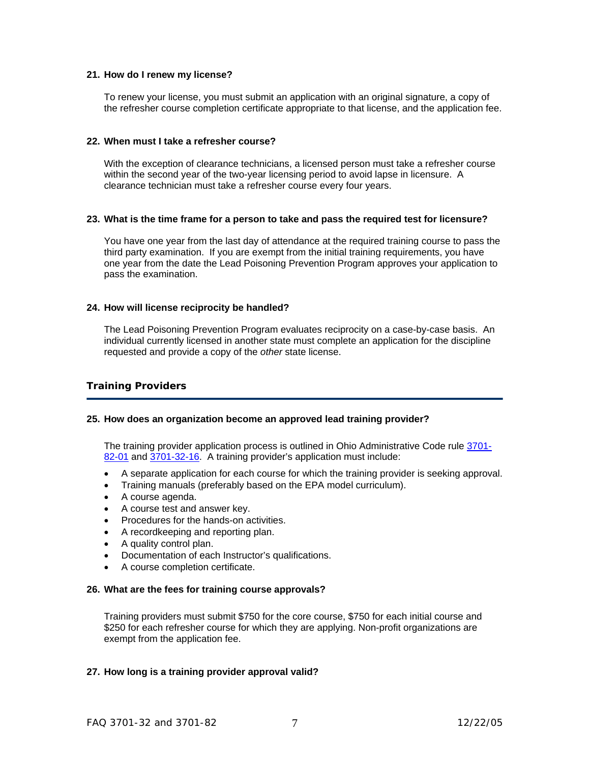# **21. How do I renew my license?**

 To renew your license, you must submit an application with an original signature, a copy of the refresher course completion certificate appropriate to that license, and the application fee.

#### **22. When must I take a refresher course?**

 With the exception of clearance technicians, a licensed person must take a refresher course within the second year of the two-year licensing period to avoid lapse in licensure. A clearance technician must take a refresher course every four years.

#### **23. What is the time frame for a person to take and pass the required test for licensure?**

 You have one year from the last day of attendance at the required training course to pass the third party examination. If you are exempt from the initial training requirements, you have one year from the date the Lead Poisoning Prevention Program approves your application to pass the examination.

# **24. How will license reciprocity be handled?**

 The Lead Poisoning Prevention Program evaluates reciprocity on a case-by-case basis. An individual currently licensed in another state must complete an application for the discipline requested and provide a copy of the *other* state license.

# **Training Providers**

# **25. How does an organization become an approved lead training provider?**

 The training provider application process is outlined in Ohio Administrative Code rule [3701-](http://www.odh.ohio.gov/rules/final/f3701-82.aspx) [82-01](http://www.odh.ohio.gov/rules/final/f3701-82.aspx) and [3701-32-16.](http://www.odh.ohio.gov/rules/final/f3701-32.aspx) A training provider's application must include:

- A separate application for each course for which the training provider is seeking approval.
- Training manuals (preferably based on the EPA model curriculum).
- A course agenda.
- A course test and answer key.
- Procedures for the hands-on activities.
- A recordkeeping and reporting plan.
- A quality control plan.
- Documentation of each Instructor's qualifications.
- A course completion certificate.

#### **26. What are the fees for training course approvals?**

 Training providers must submit \$750 for the core course, \$750 for each initial course and \$250 for each refresher course for which they are applying. Non-profit organizations are exempt from the application fee.

# **27. How long is a training provider approval valid?**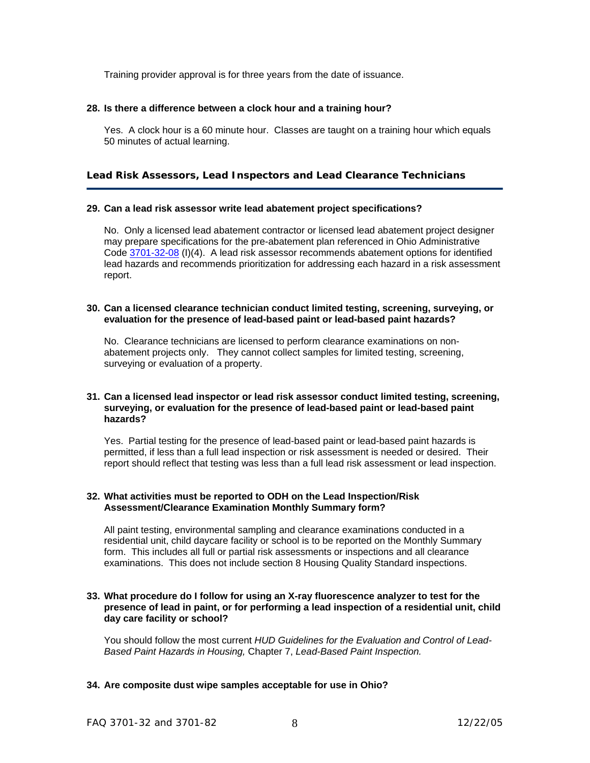Training provider approval is for three years from the date of issuance.

# **28. Is there a difference between a clock hour and a training hour?**

 Yes. A clock hour is a 60 minute hour. Classes are taught on a training hour which equals 50 minutes of actual learning.

# **Lead Risk Assessors, Lead Inspectors and Lead Clearance Technicians**

# **29. Can a lead risk assessor write lead abatement project specifications?**

 No. Only a licensed lead abatement contractor or licensed lead abatement project designer may prepare specifications for the pre-abatement plan referenced in Ohio Administrative Code [3701-32-08](http://www.odh.ohio.gov/rules/final/f3701-32.aspx) (I)(4). A lead risk assessor recommends abatement options for identified lead hazards and recommends prioritization for addressing each hazard in a risk assessment report.

### **30. Can a licensed clearance technician conduct limited testing, screening, surveying, or evaluation for the presence of lead-based paint or lead-based paint hazards?**

 No. Clearance technicians are licensed to perform clearance examinations on nonabatement projects only. They cannot collect samples for limited testing, screening, surveying or evaluation of a property.

# **31. Can a licensed lead inspector or lead risk assessor conduct limited testing, screening, surveying, or evaluation for the presence of lead-based paint or lead-based paint hazards?**

 Yes. Partial testing for the presence of lead-based paint or lead-based paint hazards is permitted, if less than a full lead inspection or risk assessment is needed or desired. Their report should reflect that testing was less than a full lead risk assessment or lead inspection.

# **32. What activities must be reported to ODH on the Lead Inspection/Risk Assessment/Clearance Examination Monthly Summary form?**

 All paint testing, environmental sampling and clearance examinations conducted in a residential unit, child daycare facility or school is to be reported on the Monthly Summary form. This includes all full or partial risk assessments or inspections and all clearance examinations. This does not include section 8 Housing Quality Standard inspections.

# **33. What procedure do I follow for using an X-ray fluorescence analyzer to test for the presence of lead in paint, or for performing a lead inspection of a residential unit, child day care facility or school?**

 You should follow the most current *HUD Guidelines for the Evaluation and Control of Lead-Based Paint Hazards in Housing,* Chapter 7, *Lead-Based Paint Inspection.*

# **34. Are composite dust wipe samples acceptable for use in Ohio?**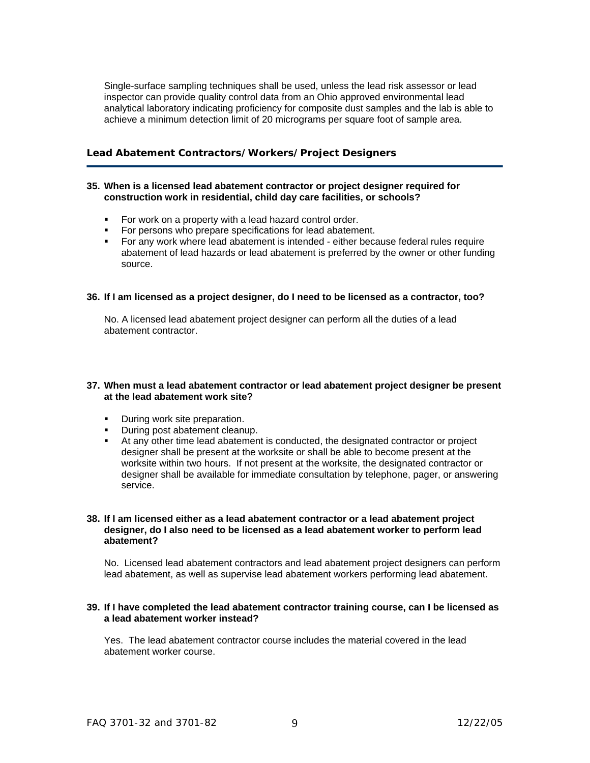Single-surface sampling techniques shall be used, unless the lead risk assessor or lead inspector can provide quality control data from an Ohio approved environmental lead analytical laboratory indicating proficiency for composite dust samples and the lab is able to achieve a minimum detection limit of 20 micrograms per square foot of sample area.

# **Lead Abatement Contractors/Workers/Project Designers**

#### **35. When is a licensed lead abatement contractor or project designer required for construction work in residential, child day care facilities, or schools?**

- For work on a property with a lead hazard control order.
- For persons who prepare specifications for lead abatement.
- For any work where lead abatement is intended either because federal rules require abatement of lead hazards or lead abatement is preferred by the owner or other funding source.

# **36. If I am licensed as a project designer, do I need to be licensed as a contractor, too?**

 No. A licensed lead abatement project designer can perform all the duties of a lead abatement contractor.

#### **37. When must a lead abatement contractor or lead abatement project designer be present at the lead abatement work site?**

- **During work site preparation.**
- **During post abatement cleanup.**
- At any other time lead abatement is conducted, the designated contractor or project designer shall be present at the worksite or shall be able to become present at the worksite within two hours. If not present at the worksite, the designated contractor or designer shall be available for immediate consultation by telephone, pager, or answering service.

#### **38. If I am licensed either as a lead abatement contractor or a lead abatement project designer, do I also need to be licensed as a lead abatement worker to perform lead abatement?**

 No. Licensed lead abatement contractors and lead abatement project designers can perform lead abatement, as well as supervise lead abatement workers performing lead abatement.

# **39. If I have completed the lead abatement contractor training course, can I be licensed as a lead abatement worker instead?**

 Yes. The lead abatement contractor course includes the material covered in the lead abatement worker course.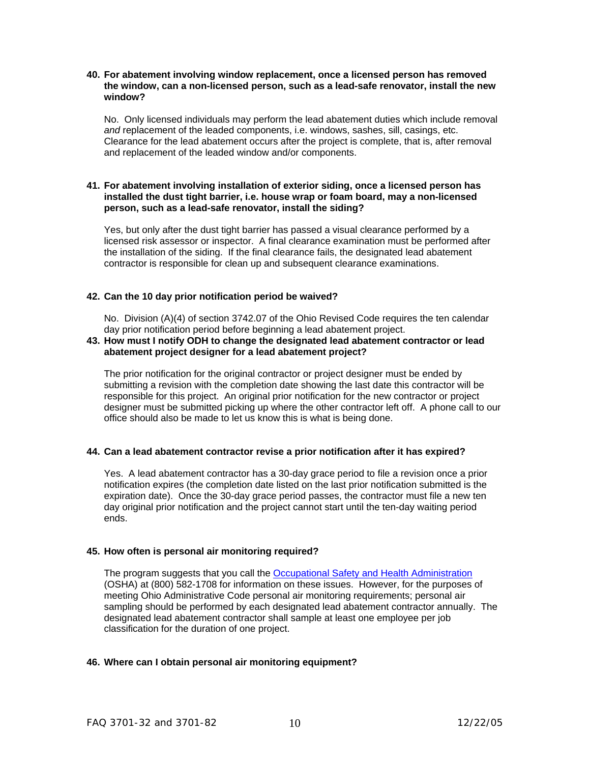# **40. For abatement involving window replacement, once a licensed person has removed the window, can a non-licensed person, such as a lead-safe renovator, install the new window?**

 No. Only licensed individuals may perform the lead abatement duties which include removal *and* replacement of the leaded components, i.e. windows, sashes, sill, casings, etc. Clearance for the lead abatement occurs after the project is complete, that is, after removal and replacement of the leaded window and/or components.

### **41. For abatement involving installation of exterior siding, once a licensed person has installed the dust tight barrier, i.e. house wrap or foam board, may a non-licensed person, such as a lead-safe renovator, install the siding?**

 Yes, but only after the dust tight barrier has passed a visual clearance performed by a licensed risk assessor or inspector. A final clearance examination must be performed after the installation of the siding. If the final clearance fails, the designated lead abatement contractor is responsible for clean up and subsequent clearance examinations.

# **42. Can the 10 day prior notification period be waived?**

 No. Division (A)(4) of section 3742.07 of the Ohio Revised Code requires the ten calendar day prior notification period before beginning a lead abatement project.

# **43. How must I notify ODH to change the designated lead abatement contractor or lead abatement project designer for a lead abatement project?**

 The prior notification for the original contractor or project designer must be ended by submitting a revision with the completion date showing the last date this contractor will be responsible for this project. An original prior notification for the new contractor or project designer must be submitted picking up where the other contractor left off. A phone call to our office should also be made to let us know this is what is being done.

# **44. Can a lead abatement contractor revise a prior notification after it has expired?**

 Yes. A lead abatement contractor has a 30-day grace period to file a revision once a prior notification expires (the completion date listed on the last prior notification submitted is the expiration date). Once the 30-day grace period passes, the contractor must file a new ten day original prior notification and the project cannot start until the ten-day waiting period ends.

# **45. How often is personal air monitoring required?**

 The program suggests that you call the [Occupational Safety and Health Administration](http://www.osha.gov/SLTC/constructionlead/index.html) (OSHA) at (800) 582-1708 for information on these issues. However, for the purposes of meeting Ohio Administrative Code personal air monitoring requirements; personal air sampling should be performed by each designated lead abatement contractor annually. The designated lead abatement contractor shall sample at least one employee per job classification for the duration of one project.

# **46. Where can I obtain personal air monitoring equipment?**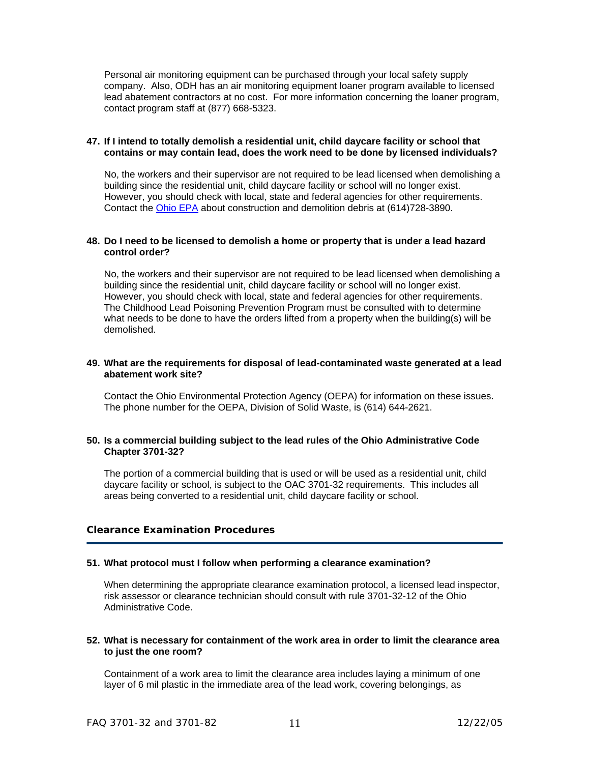Personal air monitoring equipment can be purchased through your local safety supply company. Also, ODH has an air monitoring equipment loaner program available to licensed lead abatement contractors at no cost. For more information concerning the loaner program, contact program staff at (877) 668-5323.

# **47. If I intend to totally demolish a residential unit, child daycare facility or school that contains or may contain lead, does the work need to be done by licensed individuals?**

 No, the workers and their supervisor are not required to be lead licensed when demolishing a building since the residential unit, child daycare facility or school will no longer exist. However, you should check with local, state and federal agencies for other requirements. Contact the [Ohio EPA](http://www.epa.state.oh.us/dsiwm/) about construction and demolition debris at (614)728-3890.

# **48. Do I need to be licensed to demolish a home or property that is under a lead hazard control order?**

 No, the workers and their supervisor are not required to be lead licensed when demolishing a building since the residential unit, child daycare facility or school will no longer exist. However, you should check with local, state and federal agencies for other requirements. The Childhood Lead Poisoning Prevention Program must be consulted with to determine what needs to be done to have the orders lifted from a property when the building(s) will be demolished.

### **49. What are the requirements for disposal of lead-contaminated waste generated at a lead abatement work site?**

 Contact the Ohio Environmental Protection Agency (OEPA) for information on these issues. The phone number for the OEPA, Division of Solid Waste, is (614) 644-2621.

# **50. Is a commercial building subject to the lead rules of the Ohio Administrative Code Chapter 3701-32?**

 The portion of a commercial building that is used or will be used as a residential unit, child daycare facility or school, is subject to the OAC 3701-32 requirements. This includes all areas being converted to a residential unit, child daycare facility or school.

# **Clearance Examination Procedures**

# **51. What protocol must I follow when performing a clearance examination?**

 When determining the appropriate clearance examination protocol, a licensed lead inspector, risk assessor or clearance technician should consult with rule 3701-32-12 of the Ohio Administrative Code.

#### **52. What is necessary for containment of the work area in order to limit the clearance area to just the one room?**

 Containment of a work area to limit the clearance area includes laying a minimum of one layer of 6 mil plastic in the immediate area of the lead work, covering belongings, as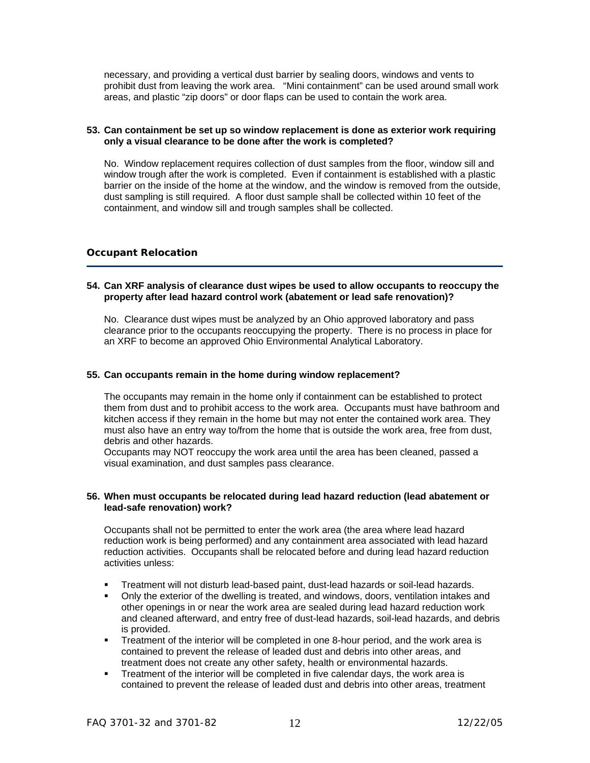necessary, and providing a vertical dust barrier by sealing doors, windows and vents to prohibit dust from leaving the work area. "Mini containment" can be used around small work areas, and plastic "zip doors" or door flaps can be used to contain the work area.

# **53. Can containment be set up so window replacement is done as exterior work requiring only a visual clearance to be done after the work is completed?**

 No. Window replacement requires collection of dust samples from the floor, window sill and window trough after the work is completed. Even if containment is established with a plastic barrier on the inside of the home at the window, and the window is removed from the outside, dust sampling is still required. A floor dust sample shall be collected within 10 feet of the containment, and window sill and trough samples shall be collected.

# **Occupant Relocation**

# **54. Can XRF analysis of clearance dust wipes be used to allow occupants to reoccupy the property after lead hazard control work (abatement or lead safe renovation)?**

 No. Clearance dust wipes must be analyzed by an Ohio approved laboratory and pass clearance prior to the occupants reoccupying the property. There is no process in place for an XRF to become an approved Ohio Environmental Analytical Laboratory.

# **55. Can occupants remain in the home during window replacement?**

 The occupants may remain in the home only if containment can be established to protect them from dust and to prohibit access to the work area. Occupants must have bathroom and kitchen access if they remain in the home but may not enter the contained work area. They must also have an entry way to/from the home that is outside the work area, free from dust, debris and other hazards.

 Occupants may NOT reoccupy the work area until the area has been cleaned, passed a visual examination, and dust samples pass clearance.

#### **56. When must occupants be relocated during lead hazard reduction (lead abatement or lead-safe renovation) work?**

 Occupants shall not be permitted to enter the work area (the area where lead hazard reduction work is being performed) and any containment area associated with lead hazard reduction activities. Occupants shall be relocated before and during lead hazard reduction activities unless:

- Treatment will not disturb lead-based paint, dust-lead hazards or soil-lead hazards.
- Only the exterior of the dwelling is treated, and windows, doors, ventilation intakes and other openings in or near the work area are sealed during lead hazard reduction work and cleaned afterward, and entry free of dust-lead hazards, soil-lead hazards, and debris is provided.
- **Treatment of the interior will be completed in one 8-hour period, and the work area is** contained to prevent the release of leaded dust and debris into other areas, and treatment does not create any other safety, health or environmental hazards.
- Treatment of the interior will be completed in five calendar days, the work area is contained to prevent the release of leaded dust and debris into other areas, treatment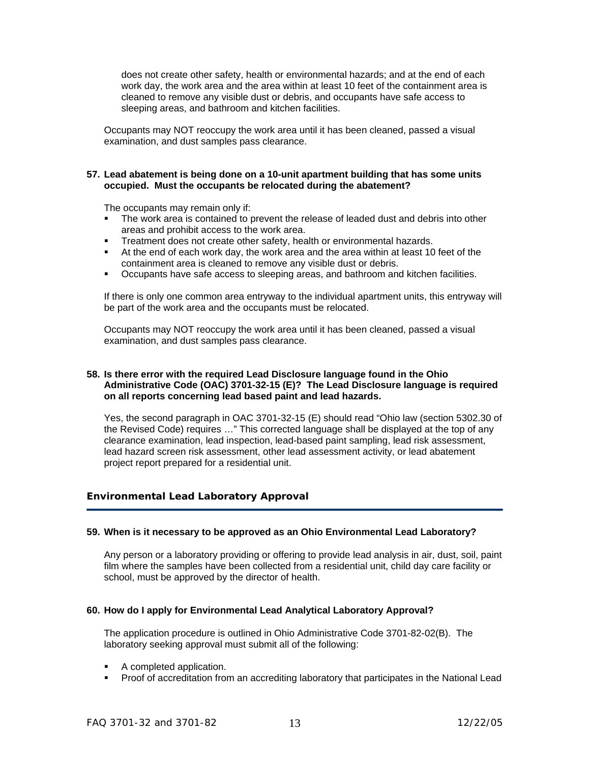does not create other safety, health or environmental hazards; and at the end of each work day, the work area and the area within at least 10 feet of the containment area is cleaned to remove any visible dust or debris, and occupants have safe access to sleeping areas, and bathroom and kitchen facilities.

Occupants may NOT reoccupy the work area until it has been cleaned, passed a visual examination, and dust samples pass clearance.

# **57. Lead abatement is being done on a 10-unit apartment building that has some units occupied. Must the occupants be relocated during the abatement?**

The occupants may remain only if:

- The work area is contained to prevent the release of leaded dust and debris into other areas and prohibit access to the work area.
- **Treatment does not create other safety, health or environmental hazards.**
- At the end of each work day, the work area and the area within at least 10 feet of the containment area is cleaned to remove any visible dust or debris.
- Occupants have safe access to sleeping areas, and bathroom and kitchen facilities.

 If there is only one common area entryway to the individual apartment units, this entryway will be part of the work area and the occupants must be relocated.

 Occupants may NOT reoccupy the work area until it has been cleaned, passed a visual examination, and dust samples pass clearance.

# **58. Is there error with the required Lead Disclosure language found in the Ohio Administrative Code (OAC) 3701-32-15 (E)? The Lead Disclosure language is required on all reports concerning lead based paint and lead hazards.**

 Yes, the second paragraph in OAC 3701-32-15 (E) should read "Ohio law (section 5302.30 of the Revised Code) requires …" This corrected language shall be displayed at the top of any clearance examination, lead inspection, lead-based paint sampling, lead risk assessment, lead hazard screen risk assessment, other lead assessment activity, or lead abatement project report prepared for a residential unit.

# **Environmental Lead Laboratory Approval**

# **59. When is it necessary to be approved as an Ohio Environmental Lead Laboratory?**

 Any person or a laboratory providing or offering to provide lead analysis in air, dust, soil, paint film where the samples have been collected from a residential unit, child day care facility or school, must be approved by the director of health.

# **60. How do I apply for Environmental Lead Analytical Laboratory Approval?**

 The application procedure is outlined in Ohio Administrative Code 3701-82-02(B). The laboratory seeking approval must submit all of the following:

- A completed application.
- **Proof of accreditation from an accrediting laboratory that participates in the National Lead**